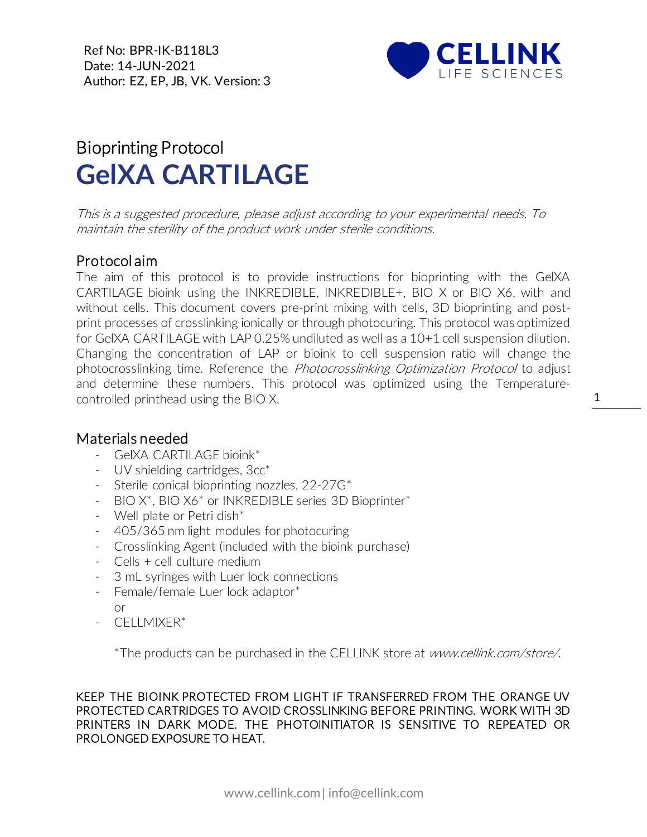Ref No: BPR-IK-B118L3 Date: 14-JUN-2021 Author: EZ, EP, JB, VK. Version: 3



## Bioprinting Protocol **GelXA CARTILAGE**

This is a suggested procedure, please adjust according to your experimental needs. To maintain the sterility of the product work under sterile conditions.

## Protocol aim

The aim of this protocol is to provide instructions for bioprinting with the GelXA CARTILAGE bioink using the INKREDIBLE, INKREDIBLE+, BIO X or BIO X6, with and without cells. This document covers pre-print mixing with cells, 3D bioprinting and postprint processes of crosslinking ionically or through photocuring. This protocol was optimized for GelXA CARTILAGE with LAP 0.25% undiluted as well as a 10+1 cell suspension dilution. Changing the concentration of LAP or bioink to cell suspension ratio will change the photocrosslinking time. Reference the *Photocrosslinking Optimization Protocol* to adjust and determine these numbers. This protocol was optimized using the Temperaturecontrolled printhead using the BIO X.

## Materials needed

- GelXA CARTILAGE bioink\*
- [UV](https://cellink.com/product/uv-shielding-cartridges-3cc/) shielding cartridges, 3cc<sup>\*</sup>
- Sterile conical bioprinting nozzles, 22-27G\*
- BIO X\*, BIO X6\* or INKREDIBLE series 3D Bioprinter\*
- Well plate or Petri dish\*
- 405/365 nm light modules for photocuring
- Crosslinking Agent (included with the bioink purchase)
- Cells + cell culture medium
- 3 mL syringes with Luer lock connections
- Female/female Luer lock adaptor\* or
- CELLMIXER\*

\*The products can be purchased in the CELLINK store at www.cellink.com/store/.

KEEP THE BIOINK PROTECTED FROM LIGHT IF TRANSFERRED FROM THE ORANGE UV PROTECTED CARTRIDGES TO AVOID CROSSLINKING BEFORE PRINTING. WORK WITH 3D PRINTERS IN DARK MODE. THE PHOTOINITIATOR IS SENSITIVE TO REPEATED OR PROLONGED EXPOSURE TO HEAT.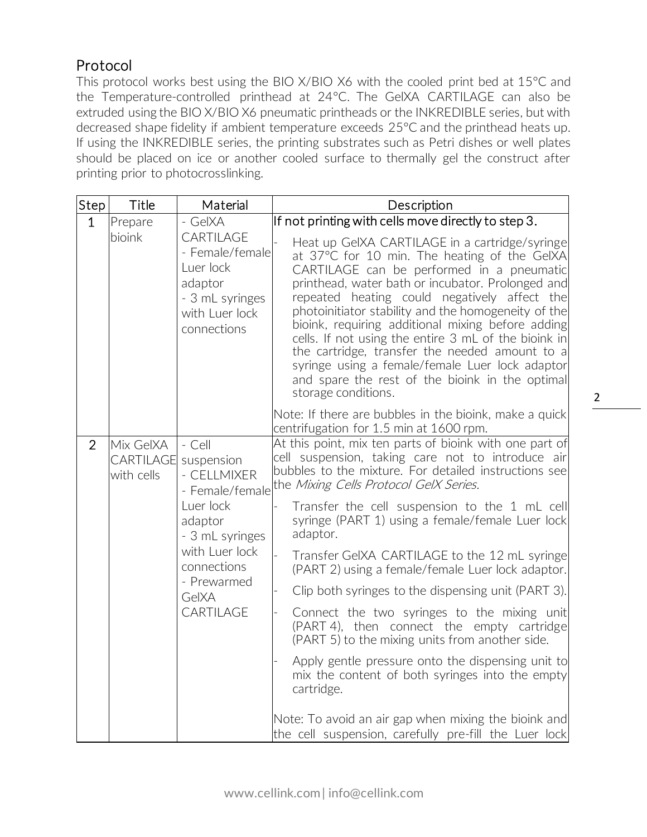## Protocol

This protocol works best using the BIO X/BIO X6 with the cooled print bed at 15°C and the Temperature-controlled printhead at 24°C. The GelXA CARTILAGE can also be extruded using the BIO X/BIO X6 pneumatic printheads or the INKREDIBLE series, but with decreased shape fidelity if ambient temperature exceeds 25°C and the printhead heats up. If using the INKREDIBLE series, the printing substrates such as Petri dishes or well plates should be placed on ice or another cooled surface to thermally gel the construct after printing prior to photocrosslinking.

| Step           | Title                                       | Material                                                                                                                                                                | Description                                                                                                                                                                                                                                                                                                                                                                                                                                                                                                                                                                                                                                                                                                                                                                                                                                                                          |  |
|----------------|---------------------------------------------|-------------------------------------------------------------------------------------------------------------------------------------------------------------------------|--------------------------------------------------------------------------------------------------------------------------------------------------------------------------------------------------------------------------------------------------------------------------------------------------------------------------------------------------------------------------------------------------------------------------------------------------------------------------------------------------------------------------------------------------------------------------------------------------------------------------------------------------------------------------------------------------------------------------------------------------------------------------------------------------------------------------------------------------------------------------------------|--|
| $\mathbf{1}$   | Prepare<br>bioink                           | - GelXA<br>CARTILAGE<br>- Female/female<br>Luer lock<br>adaptor<br>- 3 mL syringes<br>with Luer lock<br>connections                                                     | If not printing with cells move directly to step 3.<br>Heat up GeIXA CARTILAGE in a cartridge/syringe<br>at 37°C for 10 min. The heating of the GelXA<br>CARTILAGE can be performed in a pneumatic<br>printhead, water bath or incubator. Prolonged and<br>repeated heating could negatively affect the<br>photoinitiator stability and the homogeneity of the<br>bioink, requiring additional mixing before adding<br>cells. If not using the entire 3 mL of the bioink in<br>the cartridge, transfer the needed amount to a<br>syringe using a female/female Luer lock adaptor<br>and spare the rest of the bioink in the optimal<br>storage conditions.                                                                                                                                                                                                                           |  |
|                |                                             |                                                                                                                                                                         | Note: If there are bubbles in the bioink, make a quick<br>centrifugation for 1.5 min at 1600 rpm.                                                                                                                                                                                                                                                                                                                                                                                                                                                                                                                                                                                                                                                                                                                                                                                    |  |
| $\overline{2}$ | Mix GelXA<br><b>CARTILAGE</b><br>with cells | - Cell<br>suspension<br>- CELLMIXER<br>- Female/female<br>Luer lock<br>adaptor<br>- 3 mL syringes<br>with Luer lock<br>connections<br>- Prewarmed<br>GelXA<br>CARTILAGE | At this point, mix ten parts of bioink with one part of<br>cell suspension, taking care not to introduce air<br>bubbles to the mixture. For detailed instructions see<br>the Mixing Cells Protocol GelX Series.<br>Transfer the cell suspension to the 1 mL cell<br>syringe (PART 1) using a female/female Luer lock<br>adaptor.<br>Transfer GeIXA CARTILAGE to the 12 mL syringe<br>(PART 2) using a female/female Luer lock adaptor.<br>Clip both syringes to the dispensing unit (PART 3).<br>Connect the two syringes to the mixing unit<br>(PART 4), then connect the empty cartridge<br>(PART 5) to the mixing units from another side.<br>Apply gentle pressure onto the dispensing unit to<br>mix the content of both syringes into the empty<br>cartridge.<br>Note: To avoid an air gap when mixing the bioink and<br>the cell suspension, carefully pre-fill the Luer lock |  |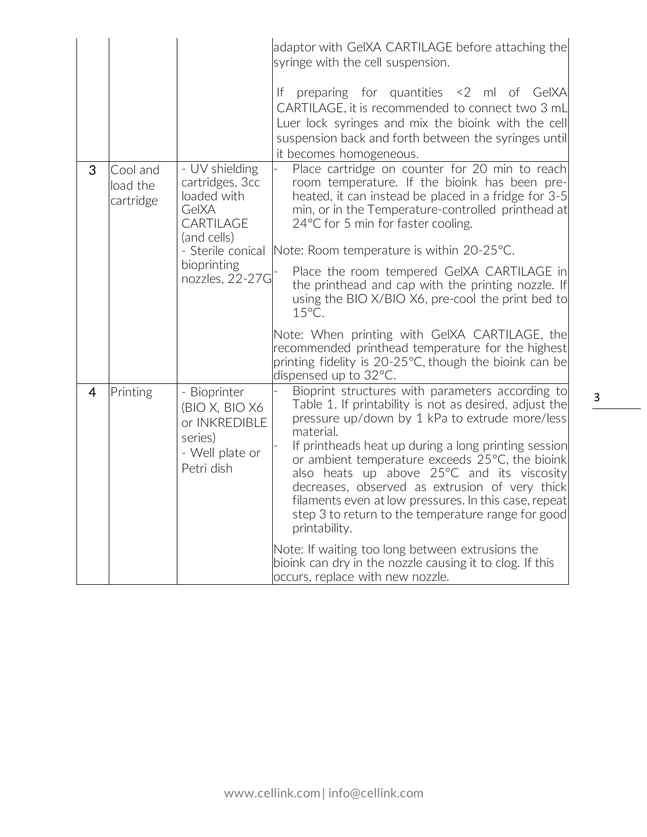|                |                                   |                                                                                                                                              | adaptor with GeIXA CARTILAGE before attaching the<br>syringe with the cell suspension.                                                                                                                                                                                                                                                                                                                                                                                                                                                                                                                                                                                   |
|----------------|-----------------------------------|----------------------------------------------------------------------------------------------------------------------------------------------|--------------------------------------------------------------------------------------------------------------------------------------------------------------------------------------------------------------------------------------------------------------------------------------------------------------------------------------------------------------------------------------------------------------------------------------------------------------------------------------------------------------------------------------------------------------------------------------------------------------------------------------------------------------------------|
|                |                                   |                                                                                                                                              | preparing for quantities <2 ml of GeIXA<br>If.<br>CARTILAGE, it is recommended to connect two 3 mL<br>Luer lock syringes and mix the bioink with the cell<br>suspension back and forth between the syringes until<br>it becomes homogeneous.                                                                                                                                                                                                                                                                                                                                                                                                                             |
| 3              | Cool and<br>load the<br>cartridge | - UV shielding<br>cartridges, 3cc<br>loaded with<br>GelXA<br>CARTILAGE<br>(and cells)<br>- Sterile conical<br>bioprinting<br>nozzles, 22-27G | Place cartridge on counter for 20 min to reach<br>room temperature. If the bioink has been pre-<br>heated, it can instead be placed in a fridge for 3-5<br>min, or in the Temperature-controlled printhead at<br>24°C for 5 min for faster cooling.<br>Note: Room temperature is within 20-25°C.<br>Place the room tempered GeIXA CARTILAGE in<br>the printhead and cap with the printing nozzle. If<br>using the BIO X/BIO X6, pre-cool the print bed to<br>15°C.                                                                                                                                                                                                       |
|                |                                   |                                                                                                                                              | Note: When printing with GeIXA CARTILAGE, the<br>recommended printhead temperature for the highest<br>printing fidelity is 20-25°C, though the bioink can be<br>dispensed up to 32°C.                                                                                                                                                                                                                                                                                                                                                                                                                                                                                    |
| $\overline{4}$ | Printing                          | - Bioprinter<br>(BIO X, BIO X6<br>or INKREDIBLE<br>series)<br>- Well plate or<br>Petri dish                                                  | Bioprint structures with parameters according to<br>Table 1. If printability is not as desired, adjust the<br>pressure up/down by 1 kPa to extrude more/less<br>material.<br>If printheads heat up during a long printing session<br>or ambient temperature exceeds 25°C, the bioink<br>also heats up above 25°C and its viscosity<br>decreases, observed as extrusion of very thick<br>filaments even at low pressures. In this case, repeat<br>step 3 to return to the temperature range for good<br>printability.<br>Note: If waiting too long between extrusions the<br>bioink can dry in the nozzle causing it to clog. If this<br>occurs, replace with new nozzle. |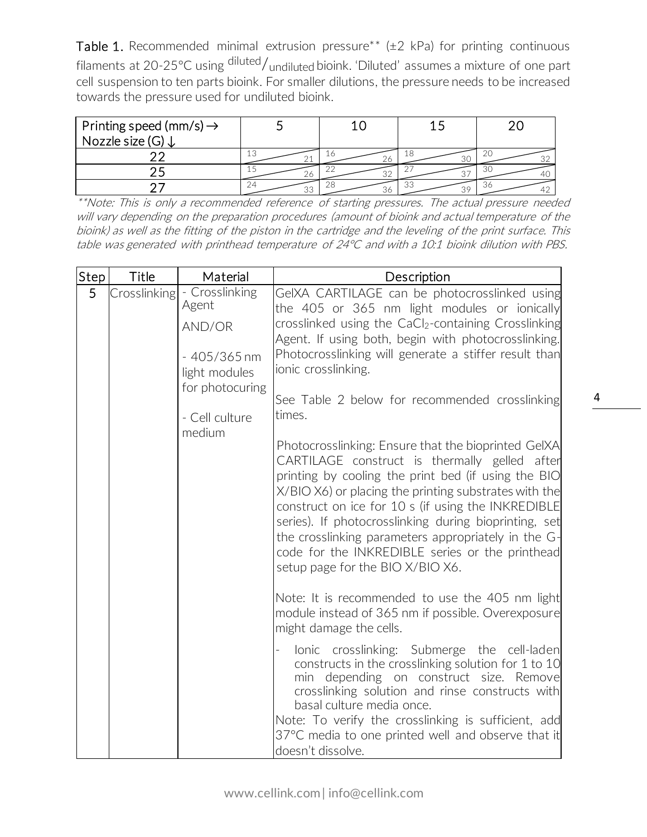Table 1. Recommended minimal extrusion pressure\*\*  $(\pm 2 \text{ kPa})$  for printing continuous filaments at 20-25°C using diluted/undiluted bioink. 'Diluted' assumes a mixture of one part cell suspension to ten parts bioink. For smaller dilutions, the pressure needs to be increased towards the pressure used for undiluted bioink.

| Printing speed (mm/s) $\rightarrow$<br>Nozzle size (G) ↓ |          |    |    |     |
|----------------------------------------------------------|----------|----|----|-----|
|                                                          | ΤC       | ZO | ΤQ |     |
|                                                          | 26       |    |    | -30 |
|                                                          | 74<br>ざこ | 36 | ುಂ | 36  |

\*\*Note: This is only a recommended reference of starting pressures. The actual pressure needed will vary depending on the preparation procedures (amount of bioink and actual temperature of the bioink) as well as the fitting of the piston in the cartridge and the leveling of the print surface. This table was generated with printhead temperature of 24°C and with a 10:1 bioink dilution with PBS.

| Step | Title        | Material                                                                               | Description                                                                                                                                                                                                                                                                                                                                                                                                                                                                       |
|------|--------------|----------------------------------------------------------------------------------------|-----------------------------------------------------------------------------------------------------------------------------------------------------------------------------------------------------------------------------------------------------------------------------------------------------------------------------------------------------------------------------------------------------------------------------------------------------------------------------------|
| 5    | Crosslinking | - Crosslinking<br>Agent<br>AND/OR<br>$-405/365$ nm<br>light modules<br>for photocuring | GeIXA CARTILAGE can be photocrosslinked using<br>the 405 or 365 nm light modules or ionically<br>crosslinked using the CaCl2-containing Crosslinking<br>Agent. If using both, begin with photocrosslinking.<br>Photocrosslinking will generate a stiffer result than<br>ionic crosslinking.                                                                                                                                                                                       |
|      |              | - Cell culture<br>medium                                                               | See Table 2 below for recommended crosslinking<br>times.                                                                                                                                                                                                                                                                                                                                                                                                                          |
|      |              |                                                                                        | Photocrosslinking: Ensure that the bioprinted GelXA<br>CARTILAGE construct is thermally gelled after<br>printing by cooling the print bed (if using the BIO<br>X/BIO X6) or placing the printing substrates with the<br>construct on ice for 10 s (if using the INKREDIBLE<br>series). If photocrosslinking during bioprinting, set<br>the crosslinking parameters appropriately in the G-<br>code for the INKREDIBLE series or the printhead<br>setup page for the BIO X/BIO X6. |
|      |              |                                                                                        | Note: It is recommended to use the 405 nm light<br>module instead of 365 nm if possible. Overexposure<br>might damage the cells.                                                                                                                                                                                                                                                                                                                                                  |
|      |              |                                                                                        | lonic crosslinking: Submerge the cell-laden<br>constructs in the crosslinking solution for 1 to 10<br>min depending on construct size. Remove<br>crosslinking solution and rinse constructs with<br>basal culture media once.<br>Note: To verify the crosslinking is sufficient, add<br>37°C media to one printed well and observe that it<br>doesn't dissolve.                                                                                                                   |